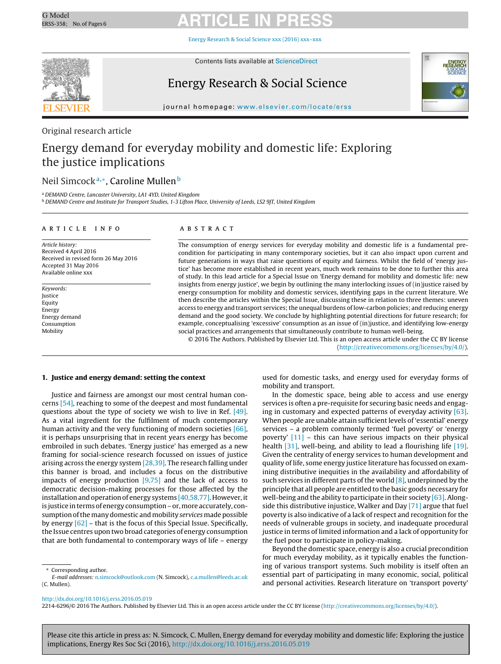Energy [Research](dx.doi.org/10.1016/j.erss.2016.05.019) & Social Science xxx (2016) xxx–xxx



Contents lists available at [ScienceDirect](http://www.sciencedirect.com/science/journal/00000000)

### Energy Research & Social Science



iournal homepage: [www.elsevier.com/locate/erss](http://www.elsevier.com/locate/erss)

### Original research article

### Energy demand for everyday mobility and domestic life: Exploring the justice implications

### Neil Simcock<sup>a,∗</sup>, Caroline Mullen<sup>b</sup>

<sup>a</sup> DEMAND Centre, Lancaster University, LA1 4YD, United Kingdom

<sup>b</sup> DEMAND Centre and Institute for Transport Studies, 1-3 Lifton Place, University of Leeds, LS2 9JT, United Kingdom

#### a r t i c l e i n f o

Article history: Received 4 April 2016 Received in revised form 26 May 2016 Accepted 31 May 2016 Available online xxx

Keywords: Justice Equity Energy Energy demand Consumption Mobility

#### a b s t r a c t

The consumption of energy services for everyday mobility and domestic life is a fundamental precondition for participating in many contemporary societies, but it can also impact upon current and future generations in ways that raise questions of equity and fairness. Whilst the field of 'energy justice' has become more established in recent years, much work remains to be done to further this area of study. In this lead article for a Special Issue on 'Energy demand for mobility and domestic life: new insights from energy justice', we begin by outlining the many interlocking issues of (in)justice raised by energy consumption for mobility and domestic services, identifying gaps in the current literature. We then describe the articles within the Special Issue, discussing these in relation to three themes: uneven access to energy and transport services; the unequal burdens of low-carbon policies; and reducing energy demand and the good society. We conclude by highlighting potential directions for future research; for example, conceptualising 'excessive' consumption as an issue of (in)justice, and identifying low-energy social practices and arrangements that simultaneously contribute to human well-being.

© 2016 The Authors. Published by Elsevier Ltd. This is an open access article under the CC BY license [\(http://creativecommons.org/licenses/by/4.0/](http://creativecommons.org/licenses/by/4.0/)).

#### **1. Justice and energy demand: setting the context**

Justice and fairness are amongst our most central human concerns [\[54\],](#page-5-0) reaching to some of the deepest and most fundamental questions about the type of society we wish to live in Ref. [\[49\].](#page-5-0) As a vital ingredient for the fulfilment of much contemporary human activity and the very functioning of modern societies [\[66\],](#page-5-0) it is perhaps unsurprising that in recent years energy has become embroiled in such debates. 'Energy justice' has emerged as a new framing for social-science research focussed on issues of justice arising across the energy system [\[28,39\].](#page-5-0) The research falling under this banner is broad, and includes a focus on the distributive impacts of energy production [\[9,75\]](#page-4-0) and the lack of access to democratic decision-making processes for those affected by the installation and operation of energy systems  $[40,58,77]$ . However, it is justice interms of energy consumption–or,more accurately, consumption of the many domestic and mobility services made possible by energy [\[62\]](#page-5-0) – that is the focus of this Special Issue. Specifically, the Issue centres upon two broad categories of energy consumption that are both fundamental to contemporary ways of life – energy

used for domestic tasks, and energy used for everyday forms of mobility and transport.

In the domestic space, being able to access and use energy services is often a pre-requisite for securing basic needs and engaging in customary and expected patterns of everyday activity [\[63\].](#page-5-0) When people are unable attain sufficient levels of 'essential' energy services – a problem commonly termed 'fuel poverty' or 'energy poverty' [\[11\]](#page-4-0) – this can have serious impacts on their physical health [\[31\],](#page-5-0) well-being, and ability to lead a flourishing life [\[19\].](#page-5-0) Given the centrality of energy services to human development and quality of life, some energy justice literature has focussed on examining distributive inequities in the availability and affordability of such services in different parts of the world  $[8]$ , underpinned by the principle that all people are entitled to the basic goods necessary for well-being and the ability to participate in their society [\[63\].](#page-5-0) Alongside this distributive injustice, Walker and Day [\[71\]](#page-5-0) argue that fuel poverty is also indicative of a lack of respect and recognition for the needs of vulnerable groups in society, and inadequate procedural justice in terms of limited information and a lack of opportunity for the fuel poor to participate in policy-making.

Beyond the domestic space, energy is also a crucial precondition for much everyday mobility, as it typically enables the functioning of various transport systems. Such mobility is itself often an essential part of participating in many economic, social, political and personal activities. Research literature on 'transport poverty'

#### [http://dx.doi.org/10.1016/j.erss.2016.05.019](dx.doi.org/10.1016/j.erss.2016.05.019)

2214-6296/© 2016 The Authors. Published by Elsevier Ltd. This is an open access article under the CC BY license ([http://creativecommons.org/licenses/by/4.0/\)](http://creativecommons.org/licenses/by/4.0/).

Corresponding author.

E-mail addresses: [n.simcock@outlook.com](mailto:n.simcock@outlook.com) (N. Simcock), [c.a.mullen@leeds.ac.uk](mailto:c.a.mullen@leeds.ac.uk) (C. Mullen).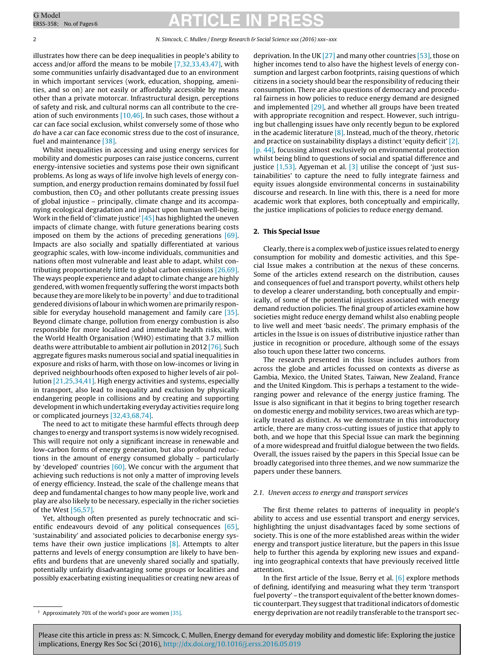illustrates how there can be deep inequalities in people's ability to access and/or afford the means to be mobile [\[7,32,33,43,47\],](#page-4-0) with some communities unfairly disadvantaged due to an environment in which important services (work, education, shopping, amenities, and so on) are not easily or affordably accessible by means other than a private motorcar. Infrastructural design, perceptions of safety and risk, and cultural norms can all contribute to the creation of such environments  $[10,46]$ . In such cases, those without a car can face social exclusion, whilst conversely some of those who do have a car can face economic stress due to the cost of insurance, fuel and maintenance [\[38\].](#page-5-0)

Whilst inequalities in accessing and using energy services for mobility and domestic purposes can raise justice concerns, current energy-intensive societies and systems pose their own significant problems. As long as ways of life involve high levels of energy consumption, and energy production remains dominated by fossil fuel combustion, then  $CO<sub>2</sub>$  and other pollutants create pressing issues of global injustice – principally, climate change and its accompanying ecological degradation and impact upon human well-being. Work in the field of 'climate justice'  $[45]$  has highlighted the uneven impacts of climate change, with future generations bearing costs imposed on them by the actions of preceding generations [\[69\].](#page-5-0) Impacts are also socially and spatially differentiated at various geographic scales, with low-income individuals, communities and nations often most vulnerable and least able to adapt, whilst contributing proportionately little to global carbon emissions [\[26,69\].](#page-5-0) The ways people experience and adapt to climate change are highly gendered, with women frequently suffering the worstimpacts both because they are more likely to be in poverty<sup>1</sup> and due to traditional gendered divisions oflabour in which women are primarily responsible for everyday household management and family care [\[35\].](#page-5-0) Beyond climate change, pollution from energy combustion is also responsible for more localised and immediate health risks, with the World Health Organisation (WHO) estimating that 3.7 million deaths were attributable to ambient air pollution in 2012 [\[76\].](#page-5-0) Such aggregate figures masks numerous social and spatial inequalities in exposure and risks of harm, with those on low-incomes or living in deprived neighbourhoods often exposed to higher levels of air pollution [\[21,25,34,41\].](#page-5-0) High energy activities and systems, especially in transport, also lead to inequality and exclusion by physically endangering people in collisions and by creating and supporting development in which undertaking everyday activities require long or complicated journeys [\[32,43,68,74\].](#page-5-0)

The need to act to mitigate these harmful effects through deep changes to energy and transport systems is now widely recognised. This will require not only a significant increase in renewable and low-carbon forms of energy generation, but also profound reductions in the amount of energy consumed globally – particularly by 'developed' countries [\[60\].](#page-5-0) We concur with the argument that of energy efficiency. Instead, the scale of the challenge means that deep and fundamental changes to how many people live, work and play are also likely to be necessary, especially in the richer societies of the West [\[56,57\].](#page-5-0)

Yet, although often presented as purely technocratic and sci-entific endeavours devoid of any political consequences [\[65\],](#page-5-0) 'sustainability' and associated policies to decarbonise energy systems have their own justice implications [\[8\].](#page-4-0) Attempts to alter patterns and levels of energy consumption are likely to have benefits and burdens that are unevenly shared socially and spatially, potentially unfairly disadvantaging some groups or localities and possibly exacerbating existing inequalities or creating new areas of

deprivation. In the UK  $[27]$  and many other countries  $[53]$ , those on higher incomes tend to also have the highest levels of energy consumption and largest carbon footprints, raising questions of which citizens in a society should bear the responsibility of reducing their consumption. There are also questions of democracy and procedural fairness in how policies to reduce energy demand are designed and implemented [\[29\],](#page-5-0) and whether all groups have been treated with appropriate recognition and respect. However, such intriguing but challenging issues have only recently begun to be explored in the academic literature  $[8]$ . Instead, much of the theory, rhetoric and practice on sustainability displays a distinct 'equity deficit'  $[2]$ , [\[p.](#page-4-0) [44\],](#page-4-0) focussing almost exclusively on environmental protection whilst being blind to questions of social and spatial difference and justice  $[1,53]$ . Agyeman et al.  $[3]$  utilise the concept of 'just sustainabilities' to capture the need to fully integrate fairness and equity issues alongside environmental concerns in sustainability discourse and research. In line with this, there is a need for more academic work that explores, both conceptually and empirically, the justice implications of policies to reduce energy demand.

#### **2. This Special Issue**

Clearly, there is a complex web of justice issues related to energy consumption for mobility and domestic activities, and this Special Issue makes a contribution at the nexus of these concerns. Some of the articles extend research on the distribution, causes and consequences of fuel and transport poverty, whilst others help to develop a clearer understanding, both conceptually and empirically, of some of the potential injustices associated with energy demand reduction policies. The final group of articles examine how societies might reduce energy demand whilst also enabling people to live well and meet 'basic needs'. The primary emphasis of the articles in the Issue is on issues of distributive injustice rather than justice in recognition or procedure, although some of the essays also touch upon these latter two concerns.

The research presented in this Issue includes authors from across the globe and articles focussed on contexts as diverse as Gambia, Mexico, the United States, Taiwan, New Zealand, France and the United Kingdom. This is perhaps a testament to the wideranging power and relevance of the energy justice framing. The Issue is also significant in that it begins to bring together research on domestic energy and mobility services, two areas which are typically treated as distinct. As we demonstrate in this introductory article, there are many cross-cutting issues of justice that apply to both, and we hope that this Special Issue can mark the beginning of a more widespread and fruitful dialogue between the two fields. Overall, the issues raised by the papers in this Special Issue can be broadly categorised into three themes, and we now summarize the papers under these banners.

#### 2.1. Uneven access to energy and transport services

The first theme relates to patterns of inequality in people's ability to access and use essential transport and energy services, highlighting the unjust disadvantages faced by some sections of society. This is one of the more established areas within the wider energy and transport justice literature, but the papers in this Issue help to further this agenda by exploring new issues and expanding into geographical contexts that have previously received little attention.

In the first article of the Issue, Berry et al. [\[6\]](#page-4-0) explore methods of defining, identifying and measuring what they term 'transport fuel poverty' - the transport equivalent of the better known domestic counterpart. They suggest that traditional indicators of domestic energy deprivation are not readily transferable to the transport sec-

achieving such reductions is not only a matter of improving levels

<sup>&</sup>lt;sup>1</sup> Approximately 70% of the world's poor are women [\[35\].](#page-5-0)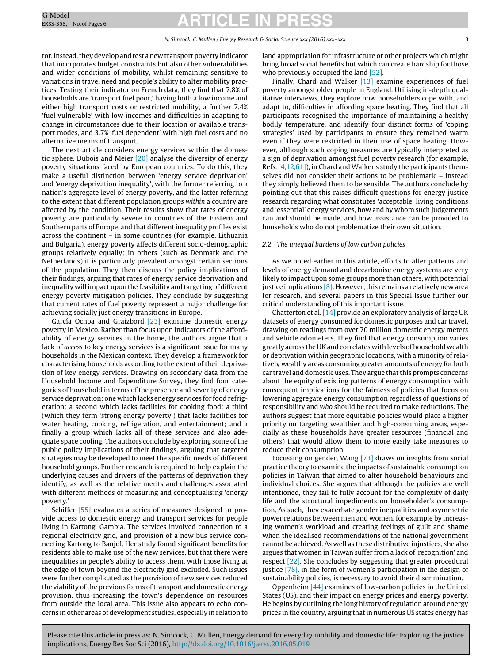#### N. Simcock, C. Mullen / Energy Research & Social Science xxx (2016) xxx–xxx 3

tor. Instead, they develop and test a new transport poverty indicator that incorporates budget constraints but also other vulnerabilities and wider conditions of mobility, whilst remaining sensitive to variations in travel need and people's ability to alter mobility practices. Testing their indicator on French data, they find that 7.8% of households are 'transport fuel poor,' having both a low income and either high transport costs or restricted mobility, a further 7.4% 'fuel vulnerable' with low incomes and difficulties in adapting to change in circumstances due to their location or available transport modes, and 3.7% 'fuel dependent' with high fuel costs and no alternative means of transport.

The next article considers energy services within the domestic sphere. Dubois and Meier [\[20\]](#page-5-0) analyse the diversity of energy poverty situations faced by European countries. To do this, they make a useful distinction between 'energy service deprivation' and 'energy deprivation inequality', with the former referring to a nation's aggregate level of energy poverty, and the latter referring to the extent that different population groups within a country are affected by the condition. Their results show that rates of energy poverty are particularly severe in countries of the Eastern and Southern parts of Europe, and that different inequality profiles exist across the continent – in some countries (for example, Lithuania and Bulgaria), energy poverty affects different socio-demographic groups relatively equally; in others (such as Denmark and the Netherlands) it is particularly prevalent amongst certain sections of the population. They then discuss the policy implications of their findings, arguing that rates of energy service deprivation and inequality will impact upon the feasibility and targeting of different energy poverty mitigation policies. They conclude by suggesting that current rates of fuel poverty represent a major challenge for achieving socially just energy transitions in Europe.

García Ochoa and Graizbord [\[23\]](#page-5-0) examine domestic energy poverty in Mexico. Rather than focus upon indicators of the affordability of energy services in the home, the authors argue that a lack of access to key energy services is a significant issue for many households in the Mexican context. They develop a framework for characterising households according to the extent of their deprivation of key energy services. Drawing on secondary data from the Household Income and Expenditure Survey, they find four categories of household in terms of the presence and severity of energy service deprivation: one which lacks energy services for food refrigeration; a second which lacks facilities for cooking food; a third (which they term 'strong energy poverty') that lacks facilities for water heating, cooking, refrigeration, and entertainment; and a finally a group which lacks all of these services and also adequate space cooling. The authors conclude by exploring some ofthe public policy implications of their findings, arguing that targeted strategies may be developed to meet the specific needs of different household groups. Further research is required to help explain the underlying causes and drivers of the patterns of deprivation they identify, as well as the relative merits and challenges associated with different methods of measuring and conceptualising 'energy poverty.'

Schiffer [\[55\]](#page-5-0) evaluates a series of measures designed to provide access to domestic energy and transport services for people living in Kartong, Gambia. The services involved connection to a regional electricity grid, and provision of a new bus service connecting Kartong to Banjul. Her study found significant benefits for residents able to make use of the new services, but that there were inequalities in people's ability to access them, with those living at the edge of town beyond the electricity grid excluded. Such issues were further complicated as the provision of new services reduced the viability of the previous forms of transport and domestic energy provision, thus increasing the town's dependence on resources from outside the local area. This issue also appears to echo concerns in other areas of development studies, especially in relation to

land appropriation for infrastructure or other projects which might bring broad social benefits but which can create hardship for those who previously occupied the land [\[52\].](#page-5-0)

Finally, Chard and Walker [\[13\]](#page-4-0) examine experiences of fuel poverty amongst older people in England. Utilising in-depth qualitative interviews, they explore how householders cope with, and adapt to, difficulties in affording space heating. They find that all participants recognised the importance of maintaining a healthy bodily temperature, and identify four distinct forms of 'coping strategies' used by participants to ensure they remained warm even if they were restricted in their use of space heating. However, although such coping measures are typically interpreted as a sign of deprivation amongst fuel poverty research (for example, Refs. [\[4,12,61\]\),](#page-4-0) in Chard and Walker's study the participants themselves did not consider their actions to be problematic – instead they simply believed them to be sensible. The authors conclude by pointing out that this raises difficult questions for energy justice research regarding what constitutes 'acceptable' living conditions and 'essential' energy services, how and by whom such judgements can and should be made, and how assistance can be provided to households who do not problematize their own situation.

#### 2.2. The unequal burdens of low carbon policies

As we noted earlier in this article, efforts to alter patterns and levels of energy demand and decarbonise energy systems are very likely to impact upon some groups more than others, with potential justice implications  $[8]$ . However, this remains a relatively new area for research, and several papers in this Special Issue further our critical understanding of this important issue.

Chatterton et al. [\[14\]](#page-4-0) provide an exploratory analysis of large UK datasets of energy consumed for domestic purposes and car travel, drawing on readings from over 70 million domestic energy meters and vehicle odometers. They find that energy consumption varies greatly across the UKandcorrelates withlevels ofhousehold wealth or deprivation within geographic locations, with a minority of relatively wealthy areas consuming greater amounts of energy for both car travel and domestic uses. They argue thatthis prompts concerns about the equity of existing patterns of energy consumption, with consequent implications for the fairness of policies that focus on lowering aggregate energy consumption regardless of questions of responsibility and who should be required to make reductions. The authors suggest that more equitable policies would place a higher priority on targeting wealthier and high-consuming areas, especially as these households have greater resources (financial and others) that would allow them to more easily take measures to reduce their consumption.

Focussing on gender, Wang [\[73\]](#page-5-0) draws on insights from social practice theory to examine the impacts of sustainable consumption policies in Taiwan that aimed to alter household behaviours and individual choices. She argues that although the policies are well intentioned, they fail to fully account for the complexity of daily life and the structural impediments on householder's consumption. As such, they exacerbate gender inequalities and asymmetric power relations between men and women, for example by increasing women's workload and creating feelings of guilt and shame when the idealised recommendations of the national government cannot be achieved. As well as these distributive injustices, she also argues that women in Taiwan suffer from a lack of 'recognition' and respect [\[22\].](#page-5-0) She concludes by suggesting that greater procedural justice [\[78\],](#page-5-0) in the form of women's participation in the design of sustainability policies, is necessary to avoid their discrimination.

Oppenheim [\[44\]](#page-5-0) examines of low-carbon policies in the United States (US), and their impact on energy prices and energy poverty. He begins by outlining the long history of regulation around energy prices in the country, arguing thatin numerous US states energy has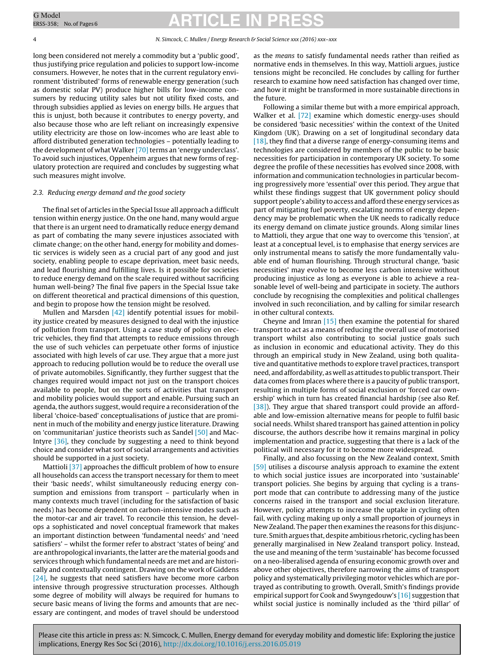#### 4 N. Simcock, C. Mullen / Energy Research & Social Science xxx (2016) xxx–xxx

long been considered not merely a commodity but a 'public good', thus justifying price regulation and policies to support low-income consumers. However, he notes that in the current regulatory environment 'distributed' forms of renewable energy generation (such as domestic solar PV) produce higher bills for low-income consumers by reducing utility sales but not utility fixed costs, and through subsidies applied as levies on energy bills. He argues that this is unjust, both because it contributes to energy poverty, and also because those who are left reliant on increasingly expensive utility electricity are those on low-incomes who are least able to afford distributed generation technologies – potentially leading to the development of what Walker [\[70\]](#page-5-0) terms an 'energy underclass'. To avoid such injustices, Oppenheim argues that new forms of regulatory protection are required and concludes by suggesting what such measures might involve.

#### 2.3. Reducing energy demand and the good society

The final set of articles in the Special Issue all approach a difficult tension within energy justice. On the one hand, many would argue that there is an urgent need to dramatically reduce energy demand as part of combating the many severe injustices associated with climate change; on the other hand, energy for mobility and domestic services is widely seen as a crucial part of any good and just society, enabling people to escape deprivation, meet basic needs, and lead flourishing and fulfilling lives. Is it possible for societies to reduce energy demand on the scale required without sacrificing human well-being? The final five papers in the Special Issue take on different theoretical and practical dimensions of this question, and begin to propose how the tension might be resolved.

Mullen and Marsden [\[42\]](#page-5-0) identify potential issues for mobility justice created by measures designed to deal with the injustice of pollution from transport. Using a case study of policy on electric vehicles, they find that attempts to reduce emissions through the use of such vehicles can perpetuate other forms of injustice associated with high levels of car use. They argue that a more just approach to reducing pollution would be to reduce the overall use of private automobiles. Significantly, they further suggest that the changes required would impact not just on the transport choices available to people, but on the sorts of activities that transport and mobility policies would support and enable. Pursuing such an agenda, the authors suggest, would require a reconsideration of the liberal 'choice-based' conceptualisations of justice that are prominent in much of the mobility and energy justice literature. Drawing on 'communitarian' justice theorists such as Sandel [\[50\]](#page-5-0) and Mac-Intyre [\[36\],](#page-5-0) they conclude by suggesting a need to think beyond choice and consider what sort of social arrangements and activities should be supported in a just society.

Mattioli [\[37\]](#page-5-0) approaches the difficult problem of how to ensure all households can access the transport necessary for them to meet their 'basic needs', whilst simultaneously reducing energy consumption and emissions from transport – particularly when in many contexts much travel (including for the satisfaction of basic needs) has become dependent on carbon-intensive modes such as the motor-car and air travel. To reconcile this tension, he develops a sophisticated and novel conceptual framework that makes an important distinction between 'fundamental needs' and 'need satisfiers' – whilst the former refer to abstract 'states of being' and are anthropological invariants, the latter are the material goods and services through which fundamental needs are met and are historically and contextually contingent. Drawing on the work of Giddens [\[24\],](#page-5-0) he suggests that need satisfiers have become more carbon intensive through progressive structuration processes. Although some degree of mobility will always be required for humans to secure basic means of living the forms and amounts that are necessary are contingent, and modes of travel should be understood

as the means to satisfy fundamental needs rather than reified as normative ends in themselves. In this way, Mattioli argues, justice tensions might be reconciled. He concludes by calling for further research to examine how need satisfaction has changed over time, and how it might be transformed in more sustainable directions in the future.

Following a similar theme but with a more empirical approach, Walker et al. [\[72\]](#page-5-0) examine which domestic energy-uses should be considered 'basic necessities' within the context of the United Kingdom (UK). Drawing on a set of longitudinal secondary data [\[18\],](#page-5-0) they find that a diverse range of energy-consuming items and technologies are considered by members of the public to be basic necessities for participation in contemporary UK society. To some degree the profile of these necessities has evolved since 2008, with information and communication technologies in particular becoming progressively more 'essential' over this period. They argue that whilst these findings suggest that UK government policy should support people's ability to access and afford these energy services as part of mitigating fuel poverty, escalating norms of energy dependency may be problematic when the UK needs to radically reduce its energy demand on climate justice grounds. Along similar lines to Mattioli, they argue that one way to overcome this 'tension', at least at a conceptual level, is to emphasise that energy services are only instrumental means to satisfy the more fundamentally valuable end of human flourishing. Through structural change, 'basic necessities' may evolve to become less carbon intensive without producing injustice as long as everyone is able to achieve a reasonable level of well-being and participate in society. The authors conclude by recognising the complexities and political challenges involved in such reconciliation, and by calling for similar research in other cultural contexts.

Cheyne and Imran [\[15\]](#page-4-0) then examine the potential for shared transport to act as a means of reducing the overall use of motorised transport whilst also contributing to social justice goals such as inclusion in economic and educational activity. They do this through an empirical study in New Zealand, using both qualitative and quantitative methods to explore travel practices, transport need, and affordability, as well as attitudes to public transport. Their data comes from places where there is a paucity of public transport, resulting in multiple forms of social exclusion or 'forced car ownership' which in turn has created financial hardship (see also Ref. [\[38\]\).](#page-5-0) They argue that shared transport could provide an affordable and low-emission alternative means for people to fulfil basic social needs. Whilst shared transport has gained attention in policy discourse, the authors describe how it remains marginal in policy implementation and practice, suggesting that there is a lack of the political will necessary for it to become more widespread.

Finally, and also focussing on the New Zealand context, Smith [\[59\]](#page-5-0) utilises a discourse analysis approach to examine the extent to which social justice issues are incorporated into 'sustainable' transport policies. She begins by arguing that cycling is a transport mode that can contribute to addressing many of the justice concerns raised in the transport and social exclusion literature. However, policy attempts to increase the uptake in cycling often fail, with cycling making up only a small proportion of journeys in New Zealand. The paper then examines the reasons for this disjuncture. Smith argues that, despite ambitious rhetoric, cycling has been generally marginalised in New Zealand transport policy. Instead, the use and meaning of the term 'sustainable' has become focussed on a neo-liberalised agenda of ensuring economic growth over and above other objectives, therefore narrowing the aims of transport policy and systematically privileging motor vehicles which are portrayed as contributing to growth. Overall, Smith's findings provide empirical support for Cook and Swyngedouw's  $[16]$  suggestion that whilst social justice is nominally included as the 'third pillar' of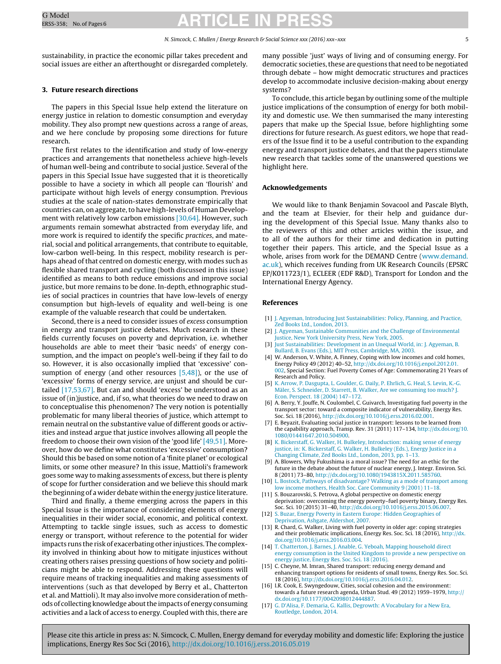#### N. Simcock, C. Mullen / Energy Research & Social Science xxx (2016) xxx–xxx 5

<span id="page-4-0"></span>sustainability, in practice the economic pillar takes precedent and social issues are either an afterthought or disregarded completely.

#### **3. Future research directions**

The papers in this Special Issue help extend the literature on energy justice in relation to domestic consumption and everyday mobility. They also prompt new questions across a range of areas, and we here conclude by proposing some directions for future research.

The first relates to the identification and study of low-energy practices and arrangements that nonetheless achieve high-levels of human well-being and contribute to social justice. Several of the papers in this Special Issue have suggested that it is theoretically possible to have a society in which all people can 'flourish' and participate without high levels of energy consumption. Previous studies at the scale of nation-states demonstrate empirically that countries can, on aggregate, to have high-levels of Human Development with relatively low carbon emissions [\[30,64\].](#page-5-0) However, such arguments remain somewhat abstracted from everyday life, and more work is required to identify the specific practices, and material, social and political arrangements, that contribute to equitable, low-carbon well-being. In this respect, mobility research is perhaps ahead of that centred on domestic energy, with modes such as flexible shared transport and cycling (both discussed in this issue) identified as means to both reduce emissions and improve social justice, but more remains to be done. In-depth, ethnographic studies of social practices in countries that have low-levels of energy consumption but high-levels of equality and well-being is one example of the valuable research that could be undertaken.

Second, there is a need to consider issues of excess consumption in energy and transport justice debates. Much research in these fields currently focuses on poverty and deprivation, i.e. whether households are able to meet their 'basic needs' of energy consumption, and the impact on people's well-being if they fail to do so. However, it is also occasionally implied that 'excessive' consumption of energy (and other resources [5,48]), or the use of 'excessive' forms of energy service, are unjust and should be curtailed [17,53,67]. But can and should 'excess' be understood as an issue of (in)justice, and, if so, what theories do we need to draw on to conceptualise this phenomenon? The very notion is potentially problematic for many liberal theories of justice, which attempt to remain neutral on the substantive value of different goods or activities and instead argue that justice involves allowing all people the freedom to choose their own vision of the 'good life' [\[49,51\].](#page-5-0) Moreover, how do we define what constitutes 'excessive' consumption? Should this be based on some notion of a 'finite planet' or ecological limits, or some other measure? In this issue, Mattioli's framework goes some way to making assessments of excess, but there is plenty of scope for further consideration and we believe this should mark the beginning of a wider debate within the energy justice literature.

Third and finally, a theme emerging across the papers in this Special Issue is the importance of considering elements of energy inequalities in their wider social, economic, and political context. Attempting to tackle single issues, such as access to domestic energy or transport, without reference to the potential for wider impacts runs the risk of exacerbating other injustices. The complexity involved in thinking about how to mitigate injustices without creating others raises pressing questions of how society and politicians might be able to respond. Addressing these questions will require means of tracking inequalities and making assessments of interventions (such as that developed by Berry et al., Chatterton et al. and Mattioli). It may also involve more consideration of methods of collecting knowledge about the impacts of energy consuming activities and a lack of access to energy. Coupled with this, there are

many possible 'just' ways of living and of consuming energy. For democratic societies, these are questions that need to be negotiated through debate – how might democratic structures and practices develop to accommodate inclusive decision-making about energy systems?

To conclude, this article began by outlining some of the multiple justice implications of the consumption of energy for both mobility and domestic use. We then summarised the many interesting papers that make up the Special Issue, before highlighting some directions for future research. As guest editors, we hope that readers of the Issue find it to be a useful contribution to the expanding energy and transport justice debates, and that the papers stimulate new research that tackles some of the unanswered questions we highlight here.

#### **Acknowledgements**

We would like to thank Benjamin Sovacool and Pascale Blyth, and the team at Elsevier, for their help and guidance during the development of this Special Issue. Many thanks also to the reviewers of this and other articles within the issue, and to all of the authors for their time and dedication in putting together their papers. This article, and the Special Issue as a whole, arises from work for the DEMAND Centre [\(www.demand.](http://www.demand.ac.uk) [ac.uk](http://www.demand.ac.uk)), which receives funding from UK Research Councils (EPSRC EP/K011723/1), ECLEER (EDF R&D), Transport for London and the International Energy Agency.

#### **References**

- [1] [J.](http://refhub.elsevier.com/S2214-6296(16)30126-8/sbref0005) [Agyeman,](http://refhub.elsevier.com/S2214-6296(16)30126-8/sbref0005) [Introducing](http://refhub.elsevier.com/S2214-6296(16)30126-8/sbref0005) [Just](http://refhub.elsevier.com/S2214-6296(16)30126-8/sbref0005) [Sustainabilities:](http://refhub.elsevier.com/S2214-6296(16)30126-8/sbref0005) [Policy,](http://refhub.elsevier.com/S2214-6296(16)30126-8/sbref0005) [Planning,](http://refhub.elsevier.com/S2214-6296(16)30126-8/sbref0005) [and](http://refhub.elsevier.com/S2214-6296(16)30126-8/sbref0005) [Practice,](http://refhub.elsevier.com/S2214-6296(16)30126-8/sbref0005) [Zed](http://refhub.elsevier.com/S2214-6296(16)30126-8/sbref0005) [Books](http://refhub.elsevier.com/S2214-6296(16)30126-8/sbref0005) [Ltd.,](http://refhub.elsevier.com/S2214-6296(16)30126-8/sbref0005) [London,](http://refhub.elsevier.com/S2214-6296(16)30126-8/sbref0005) [2013.](http://refhub.elsevier.com/S2214-6296(16)30126-8/sbref0005)
- [2] [J.](http://refhub.elsevier.com/S2214-6296(16)30126-8/sbref0010) [Agyeman,](http://refhub.elsevier.com/S2214-6296(16)30126-8/sbref0010) [Sustainable](http://refhub.elsevier.com/S2214-6296(16)30126-8/sbref0010) [Communities](http://refhub.elsevier.com/S2214-6296(16)30126-8/sbref0010) [and](http://refhub.elsevier.com/S2214-6296(16)30126-8/sbref0010) [the](http://refhub.elsevier.com/S2214-6296(16)30126-8/sbref0010) [Challenge](http://refhub.elsevier.com/S2214-6296(16)30126-8/sbref0010) [of](http://refhub.elsevier.com/S2214-6296(16)30126-8/sbref0010) [Environmental](http://refhub.elsevier.com/S2214-6296(16)30126-8/sbref0010) [Justice,](http://refhub.elsevier.com/S2214-6296(16)30126-8/sbref0010) [New](http://refhub.elsevier.com/S2214-6296(16)30126-8/sbref0010) [York](http://refhub.elsevier.com/S2214-6296(16)30126-8/sbref0010) [University](http://refhub.elsevier.com/S2214-6296(16)30126-8/sbref0010) [Press,](http://refhub.elsevier.com/S2214-6296(16)30126-8/sbref0010) [New](http://refhub.elsevier.com/S2214-6296(16)30126-8/sbref0010) [York,](http://refhub.elsevier.com/S2214-6296(16)30126-8/sbref0010) [2005.](http://refhub.elsevier.com/S2214-6296(16)30126-8/sbref0010)
- [3] [Just](http://refhub.elsevier.com/S2214-6296(16)30126-8/sbref0015) [Sustainabilities:](http://refhub.elsevier.com/S2214-6296(16)30126-8/sbref0015) [Development](http://refhub.elsevier.com/S2214-6296(16)30126-8/sbref0015) [in](http://refhub.elsevier.com/S2214-6296(16)30126-8/sbref0015) [an](http://refhub.elsevier.com/S2214-6296(16)30126-8/sbref0015) [Unequal](http://refhub.elsevier.com/S2214-6296(16)30126-8/sbref0015) [World,](http://refhub.elsevier.com/S2214-6296(16)30126-8/sbref0015) [in:](http://refhub.elsevier.com/S2214-6296(16)30126-8/sbref0015) [J.](http://refhub.elsevier.com/S2214-6296(16)30126-8/sbref0015) [Agyeman,](http://refhub.elsevier.com/S2214-6296(16)30126-8/sbref0015) [B.](http://refhub.elsevier.com/S2214-6296(16)30126-8/sbref0015) [Bullard,](http://refhub.elsevier.com/S2214-6296(16)30126-8/sbref0015) [B.](http://refhub.elsevier.com/S2214-6296(16)30126-8/sbref0015) [Evans](http://refhub.elsevier.com/S2214-6296(16)30126-8/sbref0015) [\(Eds.\),](http://refhub.elsevier.com/S2214-6296(16)30126-8/sbref0015) [MIT](http://refhub.elsevier.com/S2214-6296(16)30126-8/sbref0015) [Press,](http://refhub.elsevier.com/S2214-6296(16)30126-8/sbref0015) [Cambridge,](http://refhub.elsevier.com/S2214-6296(16)30126-8/sbref0015) [MA,](http://refhub.elsevier.com/S2214-6296(16)30126-8/sbref0015) [2003.](http://refhub.elsevier.com/S2214-6296(16)30126-8/sbref0015)
- [4] W. Anderson, V. White, A. Finney, Coping with low incomes and cold homes, Energy Policy 49 (2012) 40–52, [http://dx.doi.org/10.1016/j.enpol.2012.01.](dx.doi.org/10.1016/j.enpol.2012.01.002) [002,](dx.doi.org/10.1016/j.enpol.2012.01.002) Special Section: Fuel Poverty Comes of Age: Commemorating 21 Years of Research and Policy.
- [5] [K.](http://refhub.elsevier.com/S2214-6296(16)30126-8/sbref0025) [Arrow,](http://refhub.elsevier.com/S2214-6296(16)30126-8/sbref0025) [P.](http://refhub.elsevier.com/S2214-6296(16)30126-8/sbref0025) [Dasgupta,](http://refhub.elsevier.com/S2214-6296(16)30126-8/sbref0025) [L.](http://refhub.elsevier.com/S2214-6296(16)30126-8/sbref0025) [Goulder,](http://refhub.elsevier.com/S2214-6296(16)30126-8/sbref0025) [G.](http://refhub.elsevier.com/S2214-6296(16)30126-8/sbref0025) [Daily,](http://refhub.elsevier.com/S2214-6296(16)30126-8/sbref0025) [P.](http://refhub.elsevier.com/S2214-6296(16)30126-8/sbref0025) [Ehrlich,](http://refhub.elsevier.com/S2214-6296(16)30126-8/sbref0025) [G.](http://refhub.elsevier.com/S2214-6296(16)30126-8/sbref0025) [Heal,](http://refhub.elsevier.com/S2214-6296(16)30126-8/sbref0025) [S.](http://refhub.elsevier.com/S2214-6296(16)30126-8/sbref0025) [Levin,](http://refhub.elsevier.com/S2214-6296(16)30126-8/sbref0025) [K.-G.](http://refhub.elsevier.com/S2214-6296(16)30126-8/sbref0025) [Mäler,](http://refhub.elsevier.com/S2214-6296(16)30126-8/sbref0025) [S.](http://refhub.elsevier.com/S2214-6296(16)30126-8/sbref0025) [Schneider,](http://refhub.elsevier.com/S2214-6296(16)30126-8/sbref0025) [D.](http://refhub.elsevier.com/S2214-6296(16)30126-8/sbref0025) [Starrett,](http://refhub.elsevier.com/S2214-6296(16)30126-8/sbref0025) [B.](http://refhub.elsevier.com/S2214-6296(16)30126-8/sbref0025) [Walker,](http://refhub.elsevier.com/S2214-6296(16)30126-8/sbref0025) [Are](http://refhub.elsevier.com/S2214-6296(16)30126-8/sbref0025) [we](http://refhub.elsevier.com/S2214-6296(16)30126-8/sbref0025) [consuming](http://refhub.elsevier.com/S2214-6296(16)30126-8/sbref0025) [too](http://refhub.elsevier.com/S2214-6296(16)30126-8/sbref0025) [much?](http://refhub.elsevier.com/S2214-6296(16)30126-8/sbref0025) [J.](http://refhub.elsevier.com/S2214-6296(16)30126-8/sbref0025) [Econ.](http://refhub.elsevier.com/S2214-6296(16)30126-8/sbref0025) [Perspect.](http://refhub.elsevier.com/S2214-6296(16)30126-8/sbref0025) [18](http://refhub.elsevier.com/S2214-6296(16)30126-8/sbref0025) [\(2004\)](http://refhub.elsevier.com/S2214-6296(16)30126-8/sbref0025) [147–172.](http://refhub.elsevier.com/S2214-6296(16)30126-8/sbref0025)
- [6] A. Berry, Y. Jouffe, N. Coulombel, C. Guivarch, Investigating fuel poverty in the transport sector: toward a composite indicator of vulnerability, Energy Res. Soc. Sci. 18 (2016), [http://dx.doi.org/10.1016/j.erss.2016.02.001](dx.doi.org/10.1016/j.erss.2016.02.001).
- [7] E. Beyazit, Evaluating social justice in transport: lessons to be learned from the capability approach, Transp. Rev. 31 (2011) 117–134, [http://dx.doi.org/10.](dx.doi.org/10.1080/01441647.2010.504900) [1080/01441647.2010.504900](dx.doi.org/10.1080/01441647.2010.504900).
- [8] [K.](http://refhub.elsevier.com/S2214-6296(16)30126-8/sbref0040) [Bickerstaff,](http://refhub.elsevier.com/S2214-6296(16)30126-8/sbref0040) [G.](http://refhub.elsevier.com/S2214-6296(16)30126-8/sbref0040) [Walker,](http://refhub.elsevier.com/S2214-6296(16)30126-8/sbref0040) [H.](http://refhub.elsevier.com/S2214-6296(16)30126-8/sbref0040) [Bulkeley,](http://refhub.elsevier.com/S2214-6296(16)30126-8/sbref0040) [Introduction:](http://refhub.elsevier.com/S2214-6296(16)30126-8/sbref0040) [making](http://refhub.elsevier.com/S2214-6296(16)30126-8/sbref0040) [sense](http://refhub.elsevier.com/S2214-6296(16)30126-8/sbref0040) [of](http://refhub.elsevier.com/S2214-6296(16)30126-8/sbref0040) [energy](http://refhub.elsevier.com/S2214-6296(16)30126-8/sbref0040) [justice,](http://refhub.elsevier.com/S2214-6296(16)30126-8/sbref0040) [in:](http://refhub.elsevier.com/S2214-6296(16)30126-8/sbref0040) [K.](http://refhub.elsevier.com/S2214-6296(16)30126-8/sbref0040) [Bickerstaff,](http://refhub.elsevier.com/S2214-6296(16)30126-8/sbref0040) [G.](http://refhub.elsevier.com/S2214-6296(16)30126-8/sbref0040) [Walker,](http://refhub.elsevier.com/S2214-6296(16)30126-8/sbref0040) [H.](http://refhub.elsevier.com/S2214-6296(16)30126-8/sbref0040) [Bulkeley](http://refhub.elsevier.com/S2214-6296(16)30126-8/sbref0040) [\(Eds.\),](http://refhub.elsevier.com/S2214-6296(16)30126-8/sbref0040) [Energy](http://refhub.elsevier.com/S2214-6296(16)30126-8/sbref0040) [Justice](http://refhub.elsevier.com/S2214-6296(16)30126-8/sbref0040) [in](http://refhub.elsevier.com/S2214-6296(16)30126-8/sbref0040) [a](http://refhub.elsevier.com/S2214-6296(16)30126-8/sbref0040) [Changing](http://refhub.elsevier.com/S2214-6296(16)30126-8/sbref0040) [Climate,](http://refhub.elsevier.com/S2214-6296(16)30126-8/sbref0040) [Zed](http://refhub.elsevier.com/S2214-6296(16)30126-8/sbref0040) [Books](http://refhub.elsevier.com/S2214-6296(16)30126-8/sbref0040) [Ltd.,](http://refhub.elsevier.com/S2214-6296(16)30126-8/sbref0040) [London,](http://refhub.elsevier.com/S2214-6296(16)30126-8/sbref0040) [2013,](http://refhub.elsevier.com/S2214-6296(16)30126-8/sbref0040) [pp.](http://refhub.elsevier.com/S2214-6296(16)30126-8/sbref0040) [1–13.](http://refhub.elsevier.com/S2214-6296(16)30126-8/sbref0040)
- [9] A. Blowers, Why Fukushima is a moral issue? The need for an ethic for the future in the debate about the future of nuclear energy, J. Integr. Environ. Sci. 8 (2011) 73–80, [http://dx.doi.org/10.1080/1943815X.2011.585760.](dx.doi.org/10.1080/1943815X.2011.585760)
- [10] [L.](http://refhub.elsevier.com/S2214-6296(16)30126-8/sbref0050) [Bostock,](http://refhub.elsevier.com/S2214-6296(16)30126-8/sbref0050) [Pathways](http://refhub.elsevier.com/S2214-6296(16)30126-8/sbref0050) [of](http://refhub.elsevier.com/S2214-6296(16)30126-8/sbref0050) [disadvantage?](http://refhub.elsevier.com/S2214-6296(16)30126-8/sbref0050) [Walking](http://refhub.elsevier.com/S2214-6296(16)30126-8/sbref0050) [as](http://refhub.elsevier.com/S2214-6296(16)30126-8/sbref0050) [a](http://refhub.elsevier.com/S2214-6296(16)30126-8/sbref0050) [mode](http://refhub.elsevier.com/S2214-6296(16)30126-8/sbref0050) of [transport](http://refhub.elsevier.com/S2214-6296(16)30126-8/sbref0050) [among](http://refhub.elsevier.com/S2214-6296(16)30126-8/sbref0050) [low](http://refhub.elsevier.com/S2214-6296(16)30126-8/sbref0050) [income](http://refhub.elsevier.com/S2214-6296(16)30126-8/sbref0050) [mothers,](http://refhub.elsevier.com/S2214-6296(16)30126-8/sbref0050) [Health](http://refhub.elsevier.com/S2214-6296(16)30126-8/sbref0050) [Soc.](http://refhub.elsevier.com/S2214-6296(16)30126-8/sbref0050) [Care](http://refhub.elsevier.com/S2214-6296(16)30126-8/sbref0050) [Community](http://refhub.elsevier.com/S2214-6296(16)30126-8/sbref0050) [9](http://refhub.elsevier.com/S2214-6296(16)30126-8/sbref0050) [\(2001\)](http://refhub.elsevier.com/S2214-6296(16)30126-8/sbref0050) [11](http://refhub.elsevier.com/S2214-6296(16)30126-8/sbref0050)–[18.](http://refhub.elsevier.com/S2214-6296(16)30126-8/sbref0050)
- [11] S. Bouzarovski, S. Petrova, A global perspective on domestic energy deprivation: overcoming the energy poverty–fuel poverty binary, Energy Res. Soc. Sci. 10 (2015) 31–40, [http://dx.doi.org/10.1016/j.erss.2015.06.007.](dx.doi.org/10.1016/j.erss.2015.06.007)
- [12] [S.](http://refhub.elsevier.com/S2214-6296(16)30126-8/sbref0060) [Buzar,](http://refhub.elsevier.com/S2214-6296(16)30126-8/sbref0060) [Energy](http://refhub.elsevier.com/S2214-6296(16)30126-8/sbref0060) [Poverty](http://refhub.elsevier.com/S2214-6296(16)30126-8/sbref0060) [in](http://refhub.elsevier.com/S2214-6296(16)30126-8/sbref0060) [Eastern](http://refhub.elsevier.com/S2214-6296(16)30126-8/sbref0060) [Europe:](http://refhub.elsevier.com/S2214-6296(16)30126-8/sbref0060) [Hidden](http://refhub.elsevier.com/S2214-6296(16)30126-8/sbref0060) [Geographies](http://refhub.elsevier.com/S2214-6296(16)30126-8/sbref0060) [of](http://refhub.elsevier.com/S2214-6296(16)30126-8/sbref0060) [Deprivation,](http://refhub.elsevier.com/S2214-6296(16)30126-8/sbref0060) [Ashgate,](http://refhub.elsevier.com/S2214-6296(16)30126-8/sbref0060) [Aldershot,](http://refhub.elsevier.com/S2214-6296(16)30126-8/sbref0060) [2007.](http://refhub.elsevier.com/S2214-6296(16)30126-8/sbref0060)
- [13] R. Chard, G. Walker, Living with fuel poverty in older age: coping strategies and their problematic implications, Energy Res. Soc. Sci. 18 (2016), [http://dx.](dx.doi.org/10.1016/j.erss.2016.03.004) [doi.org/10.1016/j.erss.2016.03.004.](dx.doi.org/10.1016/j.erss.2016.03.004)
- [14] [T.](http://refhub.elsevier.com/S2214-6296(16)30126-8/sbref0070) [Chatterton,](http://refhub.elsevier.com/S2214-6296(16)30126-8/sbref0070) [J.](http://refhub.elsevier.com/S2214-6296(16)30126-8/sbref0070) [Barnes,](http://refhub.elsevier.com/S2214-6296(16)30126-8/sbref0070) [J.](http://refhub.elsevier.com/S2214-6296(16)30126-8/sbref0070) [Anable,](http://refhub.elsevier.com/S2214-6296(16)30126-8/sbref0070) [G.](http://refhub.elsevier.com/S2214-6296(16)30126-8/sbref0070) [Yeboah,](http://refhub.elsevier.com/S2214-6296(16)30126-8/sbref0070) [Mapping](http://refhub.elsevier.com/S2214-6296(16)30126-8/sbref0070) [household](http://refhub.elsevier.com/S2214-6296(16)30126-8/sbref0070) [direct](http://refhub.elsevier.com/S2214-6296(16)30126-8/sbref0070) [energy](http://refhub.elsevier.com/S2214-6296(16)30126-8/sbref0070) [consumption](http://refhub.elsevier.com/S2214-6296(16)30126-8/sbref0070) [in](http://refhub.elsevier.com/S2214-6296(16)30126-8/sbref0070) [the](http://refhub.elsevier.com/S2214-6296(16)30126-8/sbref0070) [United](http://refhub.elsevier.com/S2214-6296(16)30126-8/sbref0070) [Kingdom](http://refhub.elsevier.com/S2214-6296(16)30126-8/sbref0070) [to](http://refhub.elsevier.com/S2214-6296(16)30126-8/sbref0070) [provide](http://refhub.elsevier.com/S2214-6296(16)30126-8/sbref0070) [a](http://refhub.elsevier.com/S2214-6296(16)30126-8/sbref0070) [new](http://refhub.elsevier.com/S2214-6296(16)30126-8/sbref0070) [perspective](http://refhub.elsevier.com/S2214-6296(16)30126-8/sbref0070) [on](http://refhub.elsevier.com/S2214-6296(16)30126-8/sbref0070) [energy](http://refhub.elsevier.com/S2214-6296(16)30126-8/sbref0070) [justice,](http://refhub.elsevier.com/S2214-6296(16)30126-8/sbref0070) [Energy](http://refhub.elsevier.com/S2214-6296(16)30126-8/sbref0070) [Res.](http://refhub.elsevier.com/S2214-6296(16)30126-8/sbref0070) [Soc.](http://refhub.elsevier.com/S2214-6296(16)30126-8/sbref0070) [Sci.](http://refhub.elsevier.com/S2214-6296(16)30126-8/sbref0070) [18](http://refhub.elsevier.com/S2214-6296(16)30126-8/sbref0070) [\(2016\).](http://refhub.elsevier.com/S2214-6296(16)30126-8/sbref0070)
- [15] C. Cheyne, M. Imran, Shared transport: reducing energy demand and enhancing transport options for residents of small towns, Energy Res. Soc. Sci. 18 (2016), [http://dx.doi.org/10.1016/j.erss.2016.04.012.](dx.doi.org/10.1016/j.erss.2016.04.012)
- [16] I.R. Cook, E. Swyngedouw, Cities, social cohesion and the environment: towards a future research agenda, Urban Stud. 49 (2012) 1959–1979, [http://](dx.doi.org/10.1177/0042098012444887) <dx.doi.org/10.1177/0042098012444887>.
- [17] [G.](http://refhub.elsevier.com/S2214-6296(16)30126-8/sbref0085) [D'Alisa,](http://refhub.elsevier.com/S2214-6296(16)30126-8/sbref0085) [F.](http://refhub.elsevier.com/S2214-6296(16)30126-8/sbref0085) [Demaria,](http://refhub.elsevier.com/S2214-6296(16)30126-8/sbref0085) G. [Kallis,](http://refhub.elsevier.com/S2214-6296(16)30126-8/sbref0085) [Degrowth:](http://refhub.elsevier.com/S2214-6296(16)30126-8/sbref0085) [A](http://refhub.elsevier.com/S2214-6296(16)30126-8/sbref0085) [Vocabulary](http://refhub.elsevier.com/S2214-6296(16)30126-8/sbref0085) [for](http://refhub.elsevier.com/S2214-6296(16)30126-8/sbref0085) [a](http://refhub.elsevier.com/S2214-6296(16)30126-8/sbref0085) [New](http://refhub.elsevier.com/S2214-6296(16)30126-8/sbref0085) [Era,](http://refhub.elsevier.com/S2214-6296(16)30126-8/sbref0085) [Routledge,](http://refhub.elsevier.com/S2214-6296(16)30126-8/sbref0085) [London,](http://refhub.elsevier.com/S2214-6296(16)30126-8/sbref0085) [2014.](http://refhub.elsevier.com/S2214-6296(16)30126-8/sbref0085)